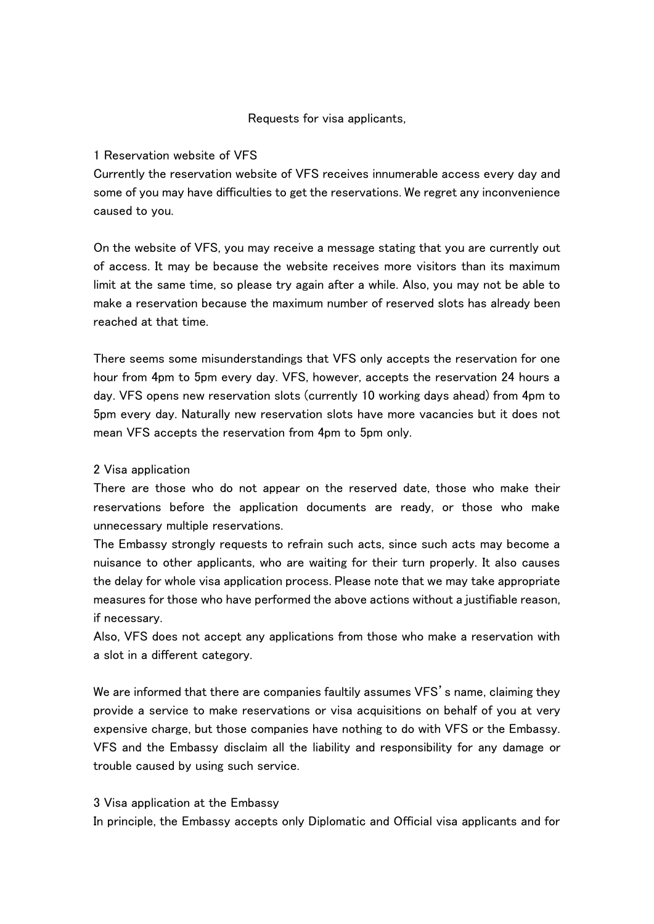## Requests for visa applicants,

## 1 Reservation website of VFS

Currently the reservation website of VFS receives innumerable access every day and some of you may have difficulties to get the reservations. We regret any inconvenience caused to you.

On the website of VFS, you may receive a message stating that you are currently out of access. It may be because the website receives more visitors than its maximum limit at the same time, so please try again after a while. Also, you may not be able to make a reservation because the maximum number of reserved slots has already been reached at that time.

There seems some misunderstandings that VFS only accepts the reservation for one hour from 4pm to 5pm every day. VFS, however, accepts the reservation 24 hours a day. VFS opens new reservation slots (currently 10 working days ahead) from 4pm to 5pm every day. Naturally new reservation slots have more vacancies but it does not mean VFS accepts the reservation from 4pm to 5pm only.

## 2 Visa application

There are those who do not appear on the reserved date, those who make their reservations before the application documents are ready, or those who make unnecessary multiple reservations.

The Embassy strongly requests to refrain such acts, since such acts may become a nuisance to other applicants, who are waiting for their turn properly. It also causes the delay for whole visa application process. Please note that we may take appropriate measures for those who have performed the above actions without a justifiable reason, if necessary.

Also, VFS does not accept any applications from those who make a reservation with a slot in a different category.

We are informed that there are companies faultily assumes VFS's name, claiming they provide a service to make reservations or visa acquisitions on behalf of you at very expensive charge, but those companies have nothing to do with VFS or the Embassy. VFS and the Embassy disclaim all the liability and responsibility for any damage or trouble caused by using such service.

## 3 Visa application at the Embassy

In principle, the Embassy accepts only Diplomatic and Official visa applicants and for